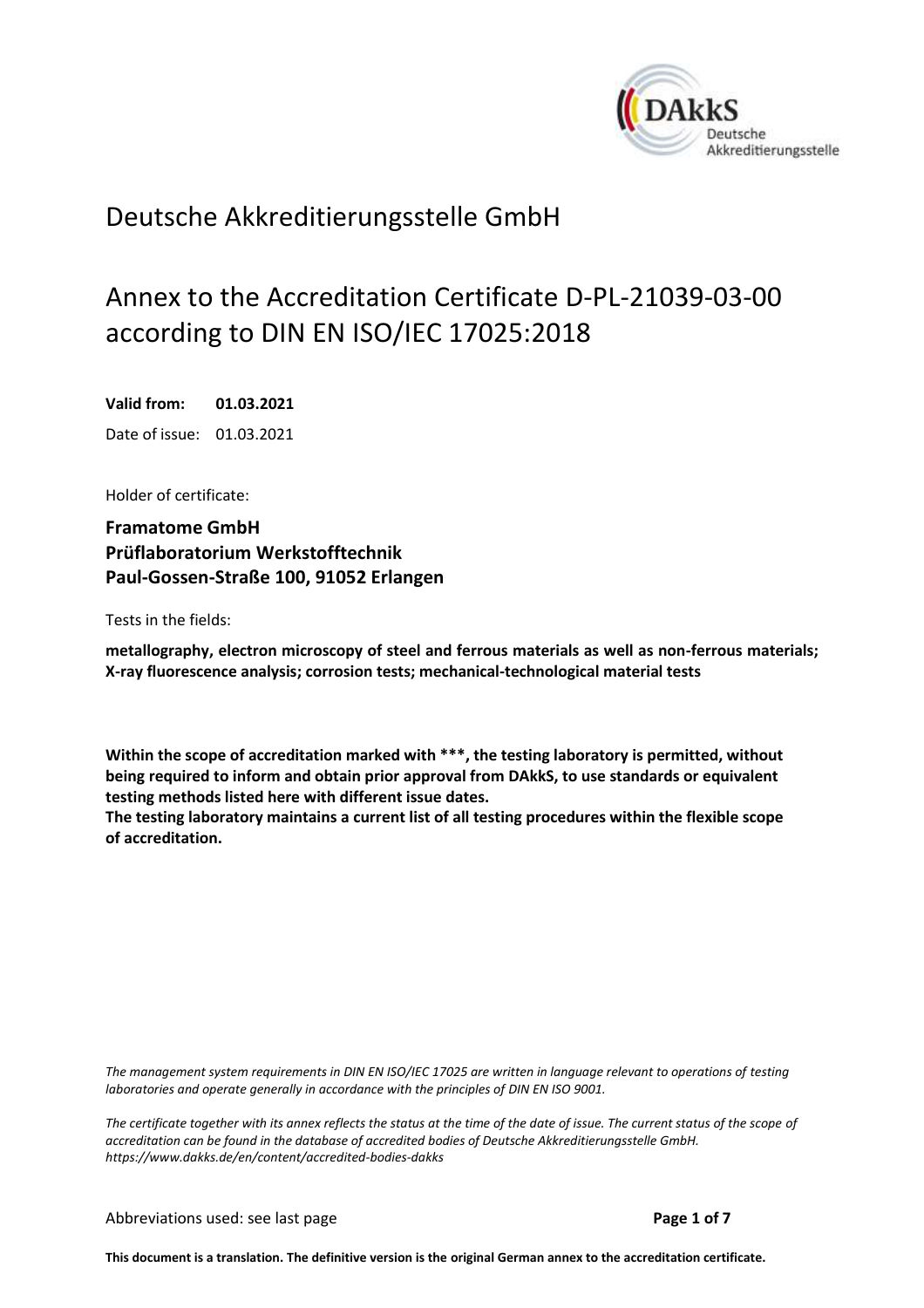<span id="page-0-0"></span>

# Deutsche Akkreditierungsstelle GmbH

# Annex to the Accreditation Certificate D-PL-21039-03-00 according to DIN EN ISO/IEC 17025:2018

<span id="page-0-2"></span><span id="page-0-1"></span>**Valid from: 01.03.2021** Date of issue: 01.03.2021

Holder of certificate:

**Framatome GmbH Prüflaboratorium Werkstofftechnik Paul-Gossen-Straße 100, 91052 Erlangen**

Tests in the fields:

**metallography, electron microscopy of steel and ferrous materials as well as non-ferrous materials; X-ray fluorescence analysis; corrosion tests; mechanical-technological material tests**

**Within the scope of accreditation marked with \*\*\*, the testing laboratory is permitted, without being required to inform and obtain prior approval from DAkkS, to use standards or equivalent testing methods listed here with different issue dates.**

**The testing laboratory maintains a current list of all testing procedures within the flexible scope of accreditation.**

*The management system requirements in DIN EN ISO/IEC 17025 are written in language relevant to operations of testing laboratories and operate generally in accordance with the principles of DIN EN ISO 9001.*

*The certificate together with its annex reflects the status at the time of the date of issue. The current status of the scope of accreditation can be found in the database of accredited bodies of Deutsche Akkreditierungsstelle GmbH. <https://www.dakks.de/en/content/accredited-bodies-dakks>*

**This document is a translation. The definitive version is the original German annex to the accreditation certificate.**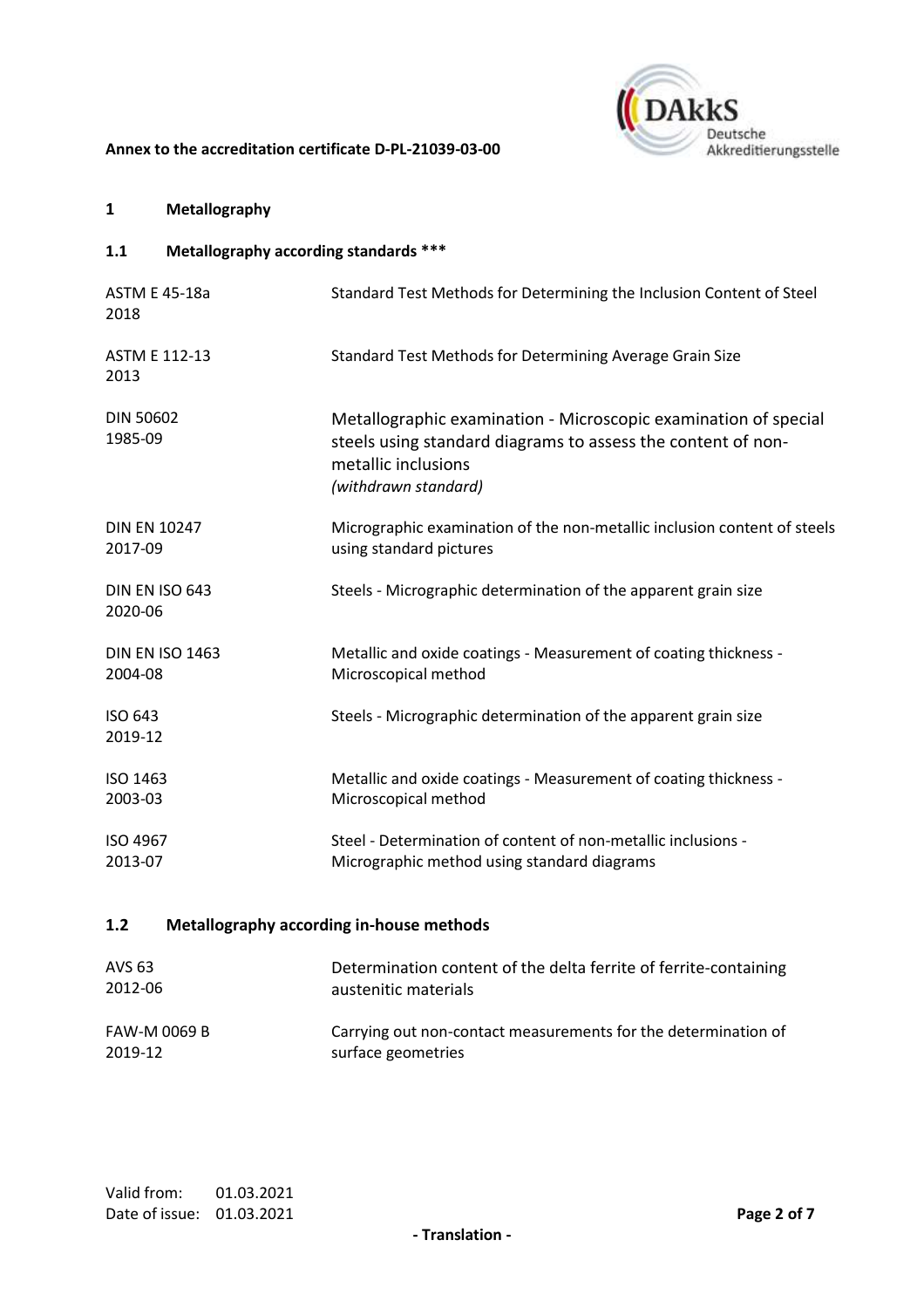

# **1 Metallography**

**1.1 Metallography according standards \*\*\***

| <b>ASTM E 45-18a</b><br>2018      | Standard Test Methods for Determining the Inclusion Content of Steel                                                                                                           |
|-----------------------------------|--------------------------------------------------------------------------------------------------------------------------------------------------------------------------------|
| <b>ASTM E 112-13</b><br>2013      | Standard Test Methods for Determining Average Grain Size                                                                                                                       |
| <b>DIN 50602</b><br>1985-09       | Metallographic examination - Microscopic examination of special<br>steels using standard diagrams to assess the content of non-<br>metallic inclusions<br>(withdrawn standard) |
| <b>DIN EN 10247</b><br>2017-09    | Micrographic examination of the non-metallic inclusion content of steels<br>using standard pictures                                                                            |
| DIN EN ISO 643<br>2020-06         | Steels - Micrographic determination of the apparent grain size                                                                                                                 |
| <b>DIN EN ISO 1463</b><br>2004-08 | Metallic and oxide coatings - Measurement of coating thickness -<br>Microscopical method                                                                                       |
| ISO 643<br>2019-12                | Steels - Micrographic determination of the apparent grain size                                                                                                                 |
| ISO 1463<br>2003-03               | Metallic and oxide coatings - Measurement of coating thickness -<br>Microscopical method                                                                                       |
| ISO 4967<br>2013-07               | Steel - Determination of content of non-metallic inclusions -<br>Micrographic method using standard diagrams                                                                   |

# **1.2 Metallography according in-house methods**

| AVS 63       | Determination content of the delta ferrite of ferrite-containing |
|--------------|------------------------------------------------------------------|
| 2012-06      | austenitic materials                                             |
|              |                                                                  |
| FAW-M 0069 B | Carrying out non-contact measurements for the determination of   |
| 2019-12      | surface geometries                                               |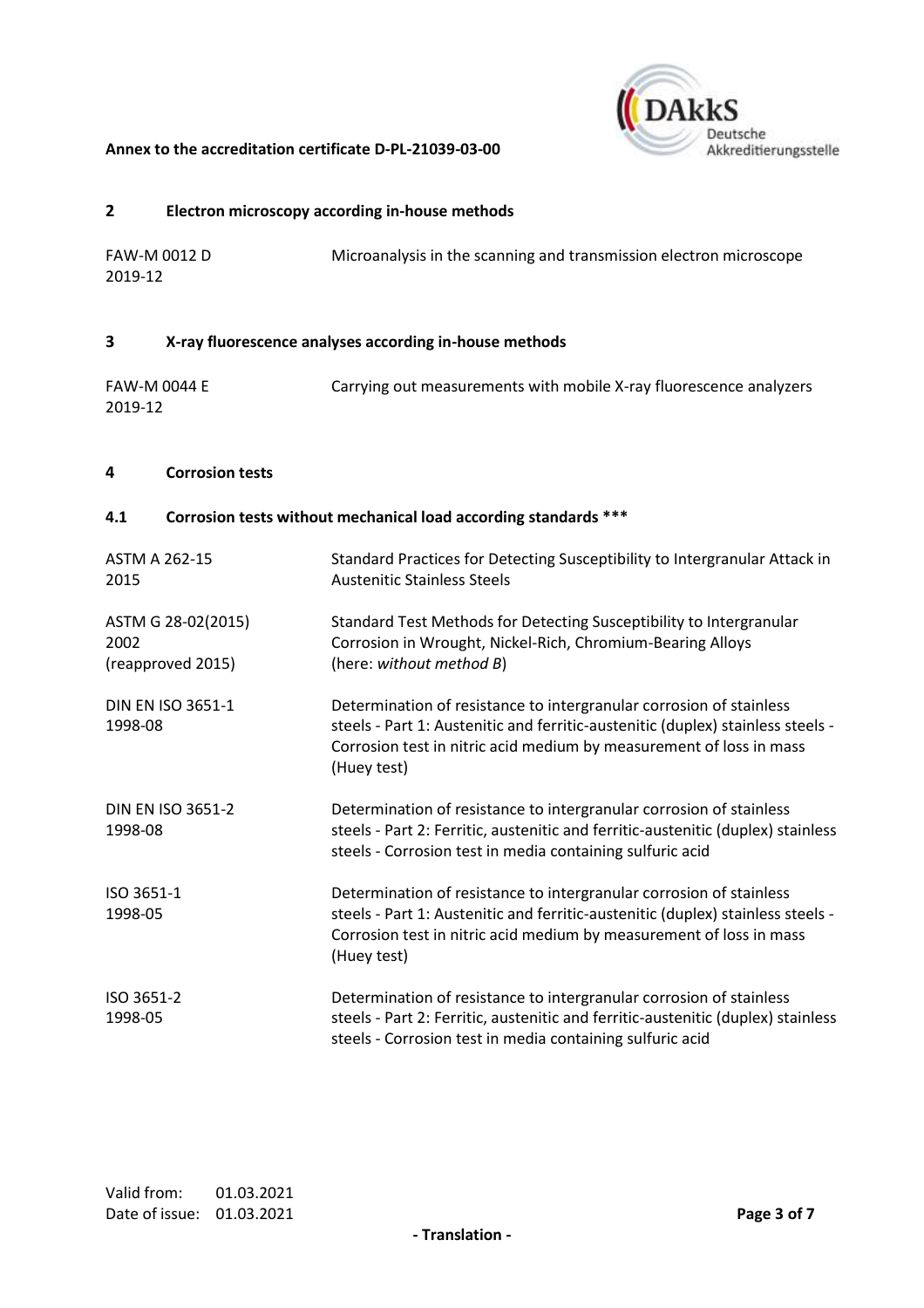

#### **2 Electron microscopy according in-house methods**

| <b>FAW-M 0012 D</b> | Microanalysis in the scanning and transmission electron microscope |
|---------------------|--------------------------------------------------------------------|
| 2019-12             |                                                                    |

# **3 X-ray fluorescence analyses according in-house methods**

| FAW-M 0044 E | Carrying out measurements with mobile X-ray fluorescence analyzers |
|--------------|--------------------------------------------------------------------|
| 2019-12      |                                                                    |

# **4 Corrosion tests**

# **4.1 Corrosion tests without mechanical load according standards \*\*\***

| <b>ASTM A 262-15</b><br>2015                    | Standard Practices for Detecting Susceptibility to Intergranular Attack in<br><b>Austenitic Stainless Steels</b>                                                                                                                             |
|-------------------------------------------------|----------------------------------------------------------------------------------------------------------------------------------------------------------------------------------------------------------------------------------------------|
| ASTM G 28-02(2015)<br>2002<br>(reapproved 2015) | Standard Test Methods for Detecting Susceptibility to Intergranular<br>Corrosion in Wrought, Nickel-Rich, Chromium-Bearing Alloys<br>(here: without method B)                                                                                |
| <b>DIN EN ISO 3651-1</b><br>1998-08             | Determination of resistance to intergranular corrosion of stainless<br>steels - Part 1: Austenitic and ferritic-austenitic (duplex) stainless steels -<br>Corrosion test in nitric acid medium by measurement of loss in mass<br>(Huey test) |
| <b>DIN EN ISO 3651-2</b><br>1998-08             | Determination of resistance to intergranular corrosion of stainless<br>steels - Part 2: Ferritic, austenitic and ferritic-austenitic (duplex) stainless<br>steels - Corrosion test in media containing sulfuric acid                         |
| ISO 3651-1<br>1998-05                           | Determination of resistance to intergranular corrosion of stainless<br>steels - Part 1: Austenitic and ferritic-austenitic (duplex) stainless steels -<br>Corrosion test in nitric acid medium by measurement of loss in mass<br>(Huey test) |
| ISO 3651-2<br>1998-05                           | Determination of resistance to intergranular corrosion of stainless<br>steels - Part 2: Ferritic, austenitic and ferritic-austenitic (duplex) stainless<br>steels - Corrosion test in media containing sulfuric acid                         |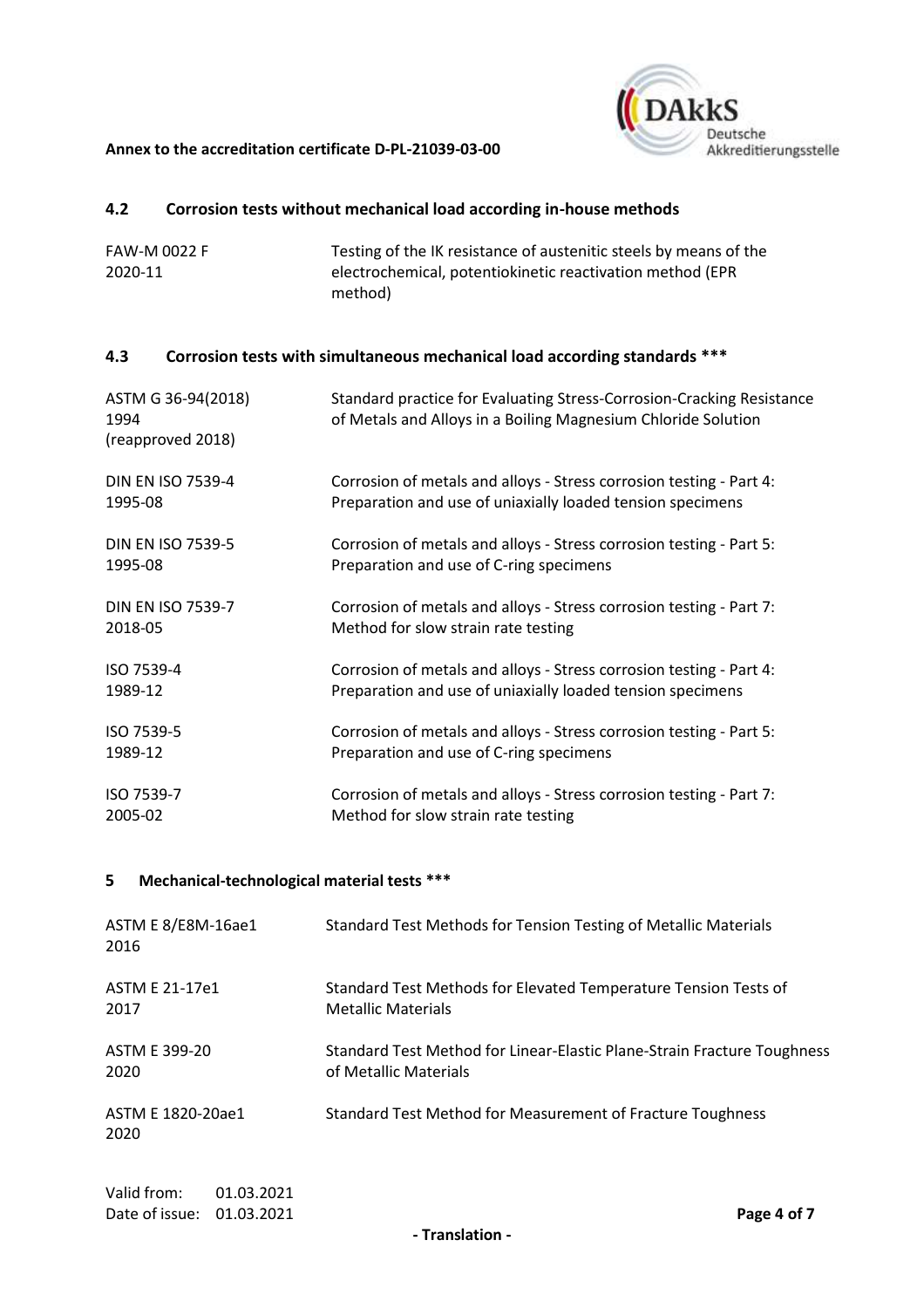

# **4.2 Corrosion tests without mechanical load according in-house methods**

FAW-M 0022 F 2020-11 Testing of the IK resistance of austenitic steels by means of the electrochemical, potentiokinetic reactivation method (EPR method)

# **4.3 Corrosion tests with simultaneous mechanical load according standards \*\*\***

| ASTM G 36-94(2018)<br>1994<br>(reapproved 2018) | Standard practice for Evaluating Stress-Corrosion-Cracking Resistance<br>of Metals and Alloys in a Boiling Magnesium Chloride Solution |
|-------------------------------------------------|----------------------------------------------------------------------------------------------------------------------------------------|
| <b>DIN EN ISO 7539-4</b>                        | Corrosion of metals and alloys - Stress corrosion testing - Part 4:                                                                    |
| 1995-08                                         | Preparation and use of uniaxially loaded tension specimens                                                                             |
| <b>DIN EN ISO 7539-5</b>                        | Corrosion of metals and alloys - Stress corrosion testing - Part 5:                                                                    |
| 1995-08                                         | Preparation and use of C-ring specimens                                                                                                |
| <b>DIN EN ISO 7539-7</b>                        | Corrosion of metals and alloys - Stress corrosion testing - Part 7:                                                                    |
| 2018-05                                         | Method for slow strain rate testing                                                                                                    |
| ISO 7539-4                                      | Corrosion of metals and alloys - Stress corrosion testing - Part 4:                                                                    |
| 1989-12                                         | Preparation and use of uniaxially loaded tension specimens                                                                             |
| ISO 7539-5                                      | Corrosion of metals and alloys - Stress corrosion testing - Part 5:                                                                    |
| 1989-12                                         | Preparation and use of C-ring specimens                                                                                                |
| ISO 7539-7                                      | Corrosion of metals and alloys - Stress corrosion testing - Part 7:                                                                    |
| 2005-02                                         | Method for slow strain rate testing                                                                                                    |

# **5 Mechanical-technological material tests \*\*\***

| ASTM E 8/E8M-16ae1<br>2016                             | Standard Test Methods for Tension Testing of Metallic Materials                                  |
|--------------------------------------------------------|--------------------------------------------------------------------------------------------------|
| <b>ASTM E 21-17e1</b><br>2017                          | Standard Test Methods for Elevated Temperature Tension Tests of<br><b>Metallic Materials</b>     |
| ASTM E 399-20<br>2020                                  | Standard Test Method for Linear-Elastic Plane-Strain Fracture Toughness<br>of Metallic Materials |
| ASTM E 1820-20ae1<br>2020                              | Standard Test Method for Measurement of Fracture Toughness                                       |
| Valid from:<br>01.03.2021<br>Date of issue: 01.03.2021 | Page 4 of 7                                                                                      |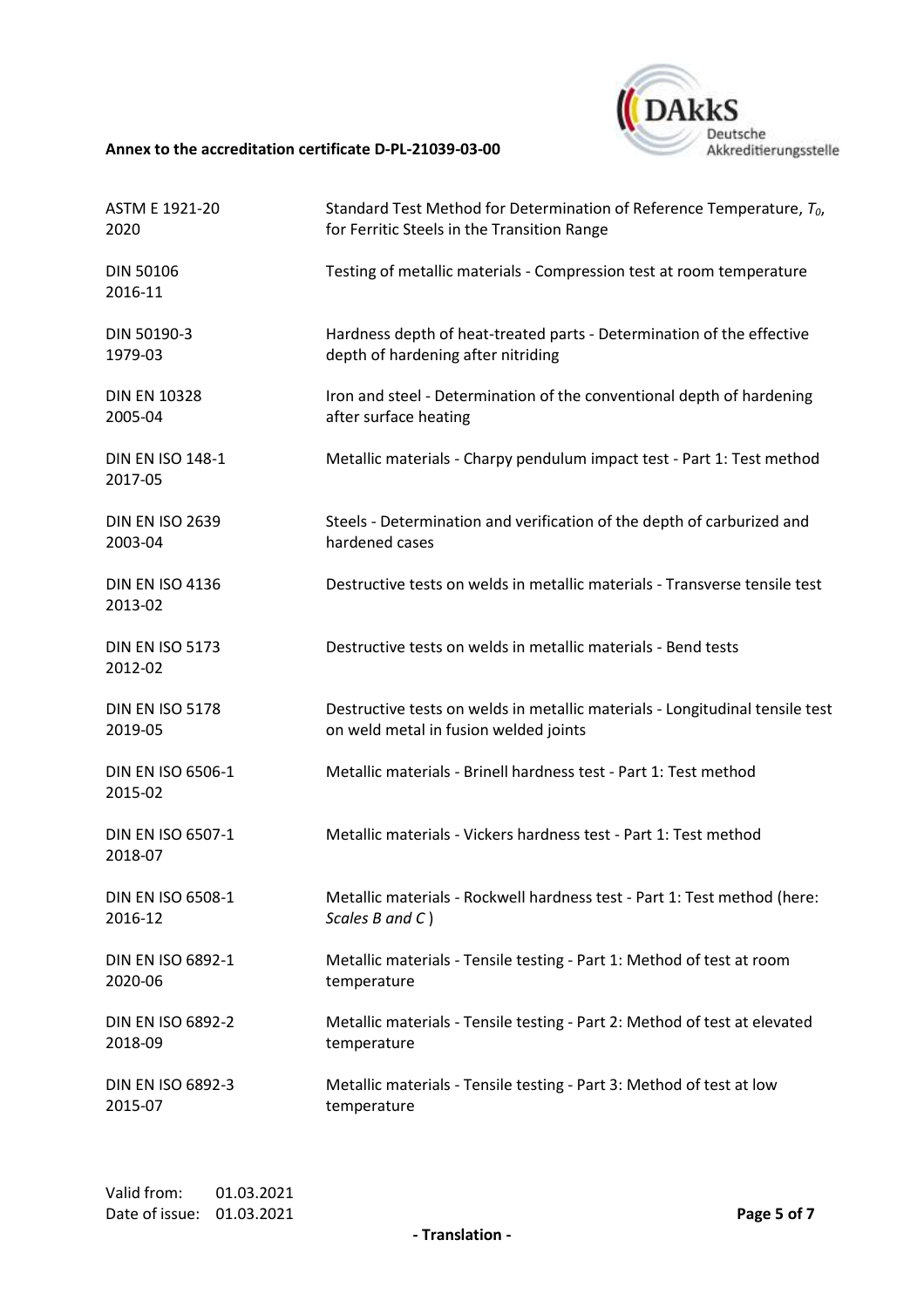

| <b>ASTM E 1921-20</b>               | Standard Test Method for Determination of Reference Temperature, $T_0$ ,     |
|-------------------------------------|------------------------------------------------------------------------------|
| 2020                                | for Ferritic Steels in the Transition Range                                  |
| <b>DIN 50106</b><br>2016-11         | Testing of metallic materials - Compression test at room temperature         |
| DIN 50190-3                         | Hardness depth of heat-treated parts - Determination of the effective        |
| 1979-03                             | depth of hardening after nitriding                                           |
| <b>DIN EN 10328</b>                 | Iron and steel - Determination of the conventional depth of hardening        |
| 2005-04                             | after surface heating                                                        |
| <b>DIN EN ISO 148-1</b><br>2017-05  | Metallic materials - Charpy pendulum impact test - Part 1: Test method       |
| <b>DIN EN ISO 2639</b>              | Steels - Determination and verification of the depth of carburized and       |
| 2003-04                             | hardened cases                                                               |
| <b>DIN EN ISO 4136</b><br>2013-02   | Destructive tests on welds in metallic materials - Transverse tensile test   |
| <b>DIN EN ISO 5173</b><br>2012-02   | Destructive tests on welds in metallic materials - Bend tests                |
| <b>DIN EN ISO 5178</b>              | Destructive tests on welds in metallic materials - Longitudinal tensile test |
| 2019-05                             | on weld metal in fusion welded joints                                        |
| DIN EN ISO 6506-1<br>2015-02        | Metallic materials - Brinell hardness test - Part 1: Test method             |
| <b>DIN EN ISO 6507-1</b><br>2018-07 | Metallic materials - Vickers hardness test - Part 1: Test method             |
| DIN EN ISO 6508-1                   | Metallic materials - Rockwell hardness test - Part 1: Test method (here:     |
| 2016-12                             | $Scales$ B and $C$ )                                                         |
| DIN EN ISO 6892-1                   | Metallic materials - Tensile testing - Part 1: Method of test at room        |
| 2020-06                             | temperature                                                                  |
| <b>DIN EN ISO 6892-2</b>            | Metallic materials - Tensile testing - Part 2: Method of test at elevated    |
| 2018-09                             | temperature                                                                  |
| DIN EN ISO 6892-3                   | Metallic materials - Tensile testing - Part 3: Method of test at low         |
| 2015-07                             | temperature                                                                  |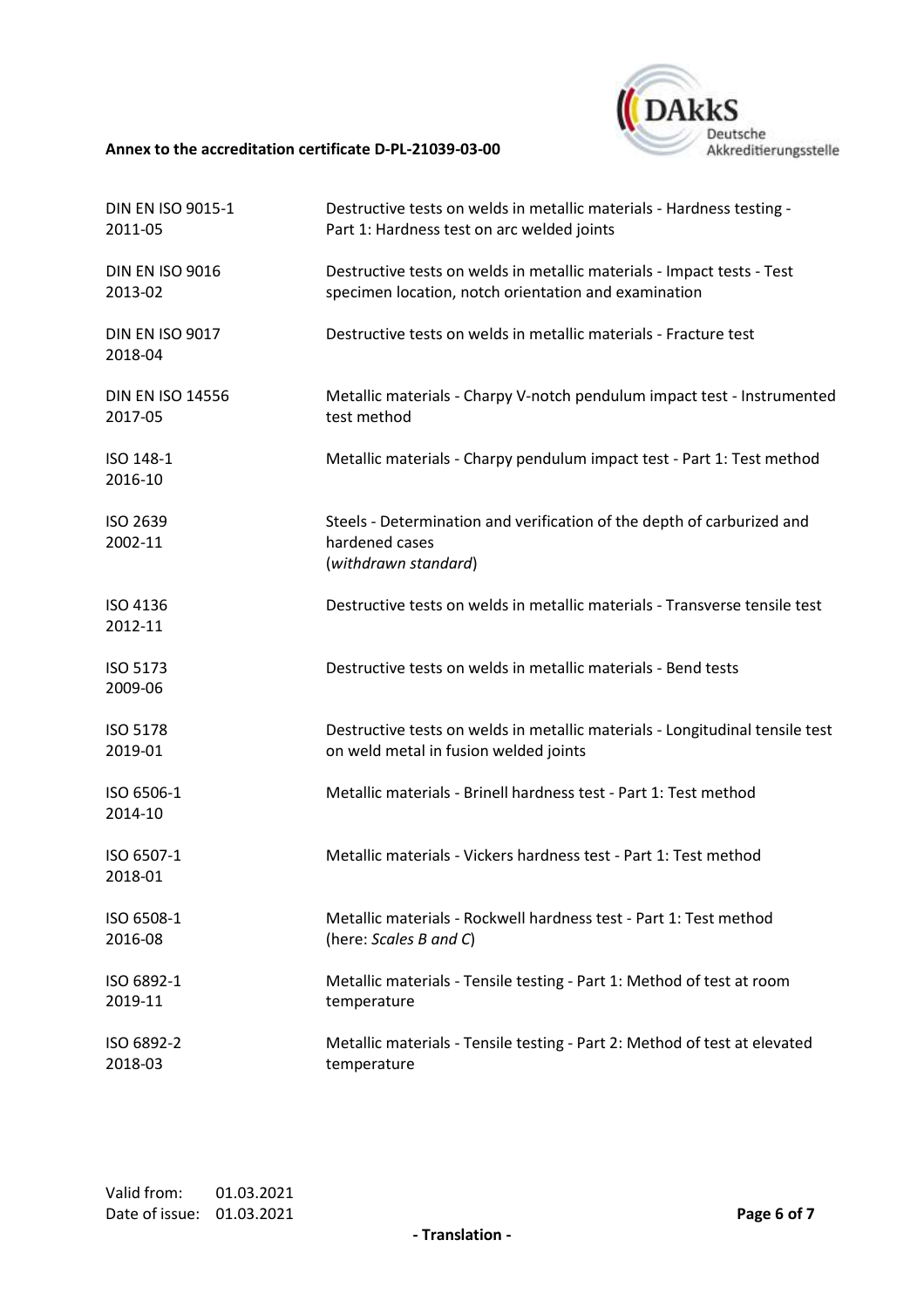

| DIN EN ISO 9015-1                 | Destructive tests on welds in metallic materials - Hardness testing -                                            |
|-----------------------------------|------------------------------------------------------------------------------------------------------------------|
| 2011-05                           | Part 1: Hardness test on arc welded joints                                                                       |
| <b>DIN EN ISO 9016</b>            | Destructive tests on welds in metallic materials - Impact tests - Test                                           |
| 2013-02                           | specimen location, notch orientation and examination                                                             |
| <b>DIN EN ISO 9017</b><br>2018-04 | Destructive tests on welds in metallic materials - Fracture test                                                 |
| <b>DIN EN ISO 14556</b>           | Metallic materials - Charpy V-notch pendulum impact test - Instrumented                                          |
| 2017-05                           | test method                                                                                                      |
| ISO 148-1<br>2016-10              | Metallic materials - Charpy pendulum impact test - Part 1: Test method                                           |
| ISO 2639<br>2002-11               | Steels - Determination and verification of the depth of carburized and<br>hardened cases<br>(withdrawn standard) |
| ISO 4136<br>2012-11               | Destructive tests on welds in metallic materials - Transverse tensile test                                       |
| ISO 5173<br>2009-06               | Destructive tests on welds in metallic materials - Bend tests                                                    |
| ISO 5178                          | Destructive tests on welds in metallic materials - Longitudinal tensile test                                     |
| 2019-01                           | on weld metal in fusion welded joints                                                                            |
| ISO 6506-1<br>2014-10             | Metallic materials - Brinell hardness test - Part 1: Test method                                                 |
| ISO 6507-1<br>2018-01             | Metallic materials - Vickers hardness test - Part 1: Test method                                                 |
| ISO 6508-1                        | Metallic materials - Rockwell hardness test - Part 1: Test method                                                |
| 2016-08                           | (here: Scales B and C)                                                                                           |
| ISO 6892-1                        | Metallic materials - Tensile testing - Part 1: Method of test at room                                            |
| 2019-11                           | temperature                                                                                                      |
| ISO 6892-2                        | Metallic materials - Tensile testing - Part 2: Method of test at elevated                                        |
| 2018-03                           | temperature                                                                                                      |